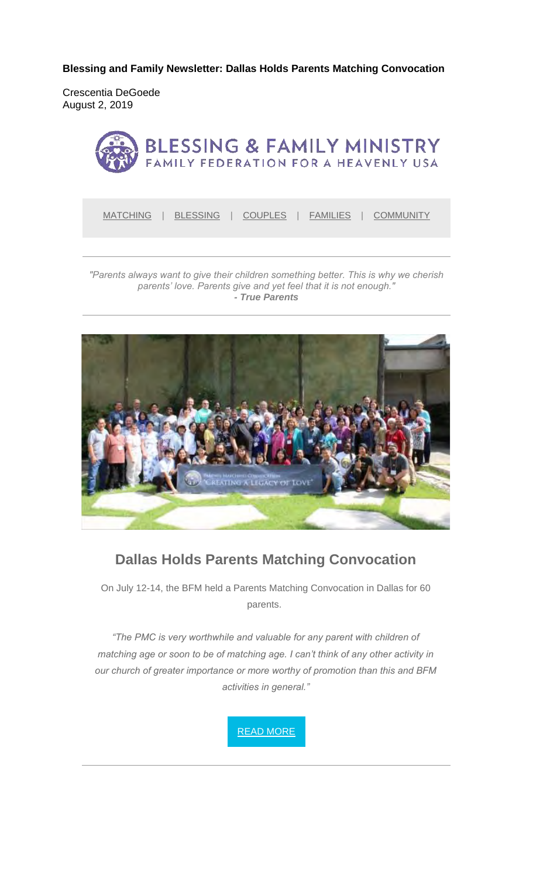**Blessing and Family Newsletter: Dallas Holds Parents Matching Convocation** 

Crescentia DeGoede August 2, 2019



MATCHING | BLESSING | COUPLES | FAMILIES | COMMUNITY

*"Parents always want to give their children something better. This is why we cherish parents' love. Parents give and yet feel that it is not enough." - True Parents*



### **Dallas Holds Parents Matching Convocation**

On July 12-14, the BFM held a Parents Matching Convocation in Dallas for 60 parents.

*"The PMC is very worthwhile and valuable for any parent with children of matching age or soon to be of matching age. I can't think of any other activity in our church of greater importance or more worthy of promotion than this and BFM activities in general."*

READ MORE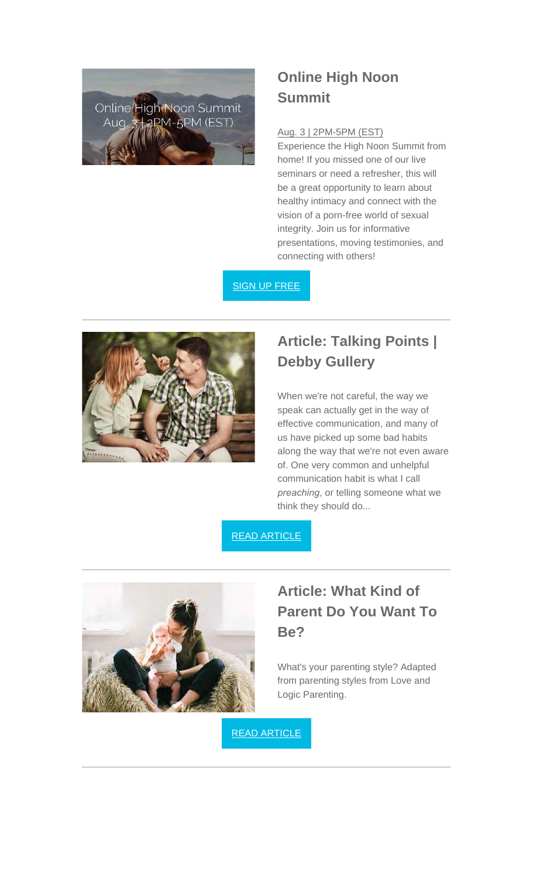

### **Online High Noon Summit**

#### Aug. 3 | 2PM-5PM (EST)

Experience the High Noon Summit from home! If you missed one of our live seminars or need a refresher, this will be a great opportunity to learn about healthy intimacy and connect with the vision of a porn-free world of sexual integrity. Join us for informative presentations, moving testimonies, and connecting with others!

SIGN UP FREE

![](_page_1_Picture_5.jpeg)

## **Article: Talking Points | Debby Gullery**

When we're not careful, the way we speak can actually get in the way of effective communication, and many of us have picked up some bad habits along the way that we're not even aware of. One very common and unhelpful communication habit is what I call *preaching*, or telling someone what we think they should do...

#### READ ARTICLE

![](_page_1_Picture_9.jpeg)

### **Article: What Kind of Parent Do You Want To Be?**

What's your parenting style? Adapted from parenting styles from Love and Logic Parenting.

READ ARTICLE